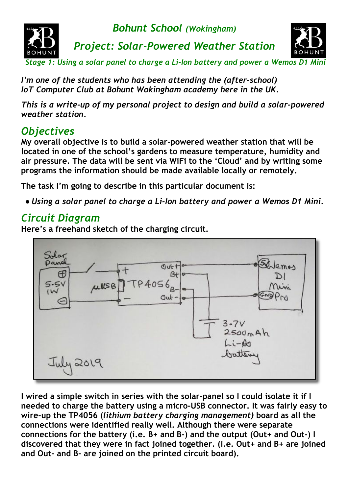

 *Stage 1: Using a solar panel to charge a Li-Ion battery and power a Wemos D1 Mini*

*I'm one of the students who has been attending the (after-school) IoT Computer Club at Bohunt Wokingham academy here in the UK.*

*This is a write-up of my personal project to design and build a solar-powered weather station.*

## *Objectives*

**My overall objective is to build a solar-powered weather station that will be located in one of the school's gardens to measure temperature, humidity and air pressure. The data will be sent via WiFi to the 'Cloud' and by writing some programs the information should be made available locally or remotely.**

**The task I'm going to describe in this particular document is:**

*● Using a solar panel to charge a Li-Ion battery and power a Wemos D1 Mini.*

## *Circuit Diagram*

**Here's a freehand sketch of the charging circuit.**



**I wired a simple switch in series with the solar-panel so I could isolate it if I needed to charge the battery using a micro-USB connector. It was fairly easy to wire-up the TP4056 (***lithium battery charging management)* **board as all the connections were identified really well. Although there were separate connections for the battery (i.e. B+ and B-) and the output (Out+ and Out-) I discovered that they were in fact joined together. (i.e. Out+ and B+ are joined and Out- and B- are joined on the printed circuit board).**